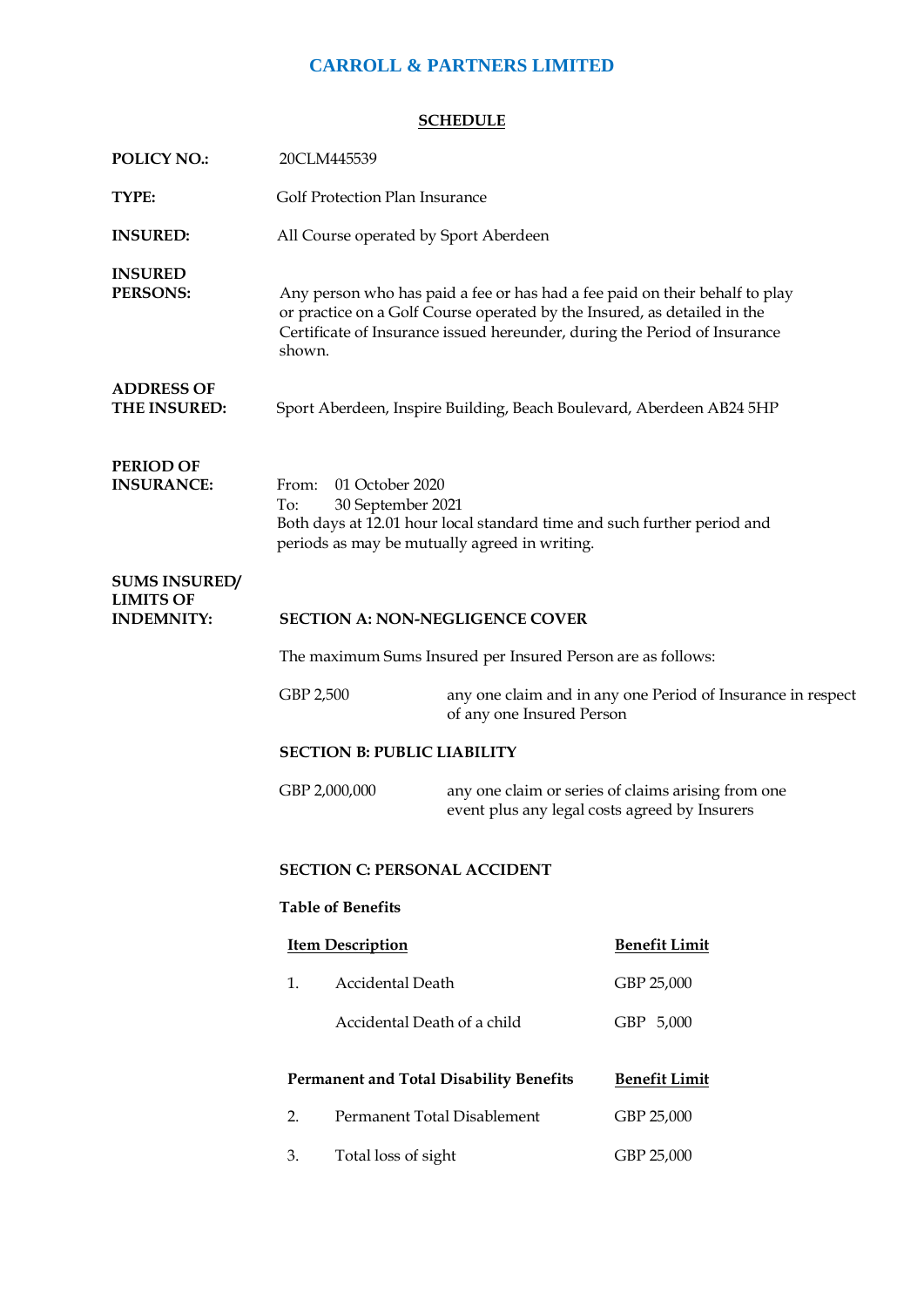## **CARROLL & PARTNERS LIMITED**

## **SCHEDULE**

| <b>POLICY NO.:</b>                                            | 20CLM445539                                                                                                                                                                                                                                    |                                                                                                     |                                                             |  |  |  |  |
|---------------------------------------------------------------|------------------------------------------------------------------------------------------------------------------------------------------------------------------------------------------------------------------------------------------------|-----------------------------------------------------------------------------------------------------|-------------------------------------------------------------|--|--|--|--|
| TYPE:                                                         | Golf Protection Plan Insurance                                                                                                                                                                                                                 |                                                                                                     |                                                             |  |  |  |  |
| <b>INSURED:</b>                                               | All Course operated by Sport Aberdeen                                                                                                                                                                                                          |                                                                                                     |                                                             |  |  |  |  |
| <b>INSURED</b><br>PERSONS:                                    | Any person who has paid a fee or has had a fee paid on their behalf to play<br>or practice on a Golf Course operated by the Insured, as detailed in the<br>Certificate of Insurance issued hereunder, during the Period of Insurance<br>shown. |                                                                                                     |                                                             |  |  |  |  |
| <b>ADDRESS OF</b><br>THE INSURED:                             | Sport Aberdeen, Inspire Building, Beach Boulevard, Aberdeen AB24 5HP                                                                                                                                                                           |                                                                                                     |                                                             |  |  |  |  |
| <b>PERIOD OF</b><br><b>INSURANCE:</b>                         | 01 October 2020<br>From:<br>To:<br>30 September 2021<br>Both days at 12.01 hour local standard time and such further period and<br>periods as may be mutually agreed in writing.                                                               |                                                                                                     |                                                             |  |  |  |  |
| <b>SUMS INSURED/</b><br><b>LIMITS OF</b><br><b>INDEMNITY:</b> | <b>SECTION A: NON-NEGLIGENCE COVER</b>                                                                                                                                                                                                         |                                                                                                     |                                                             |  |  |  |  |
|                                                               | The maximum Sums Insured per Insured Person are as follows:                                                                                                                                                                                    |                                                                                                     |                                                             |  |  |  |  |
|                                                               | GBP 2,500                                                                                                                                                                                                                                      | of any one Insured Person                                                                           | any one claim and in any one Period of Insurance in respect |  |  |  |  |
|                                                               | <b>SECTION B: PUBLIC LIABILITY</b>                                                                                                                                                                                                             |                                                                                                     |                                                             |  |  |  |  |
|                                                               | GBP 2,000,000                                                                                                                                                                                                                                  | any one claim or series of claims arising from one<br>event plus any legal costs agreed by Insurers |                                                             |  |  |  |  |
|                                                               | <b>SECTION C: PERSONAL ACCIDENT</b>                                                                                                                                                                                                            |                                                                                                     |                                                             |  |  |  |  |
|                                                               | <b>Table of Benefits</b>                                                                                                                                                                                                                       |                                                                                                     |                                                             |  |  |  |  |
|                                                               | <b>Item Description</b>                                                                                                                                                                                                                        |                                                                                                     | <b>Benefit Limit</b>                                        |  |  |  |  |
|                                                               | <b>Accidental Death</b><br>1.                                                                                                                                                                                                                  |                                                                                                     | GBP 25,000                                                  |  |  |  |  |
|                                                               | Accidental Death of a child                                                                                                                                                                                                                    |                                                                                                     | GBP 5,000                                                   |  |  |  |  |
|                                                               | <b>Permanent and Total Disability Benefits</b>                                                                                                                                                                                                 |                                                                                                     | <b>Benefit Limit</b>                                        |  |  |  |  |
|                                                               | Permanent Total Disablement<br>2.                                                                                                                                                                                                              |                                                                                                     | GBP 25,000                                                  |  |  |  |  |
|                                                               | 3.<br>Total loss of sight                                                                                                                                                                                                                      |                                                                                                     | GBP 25,000                                                  |  |  |  |  |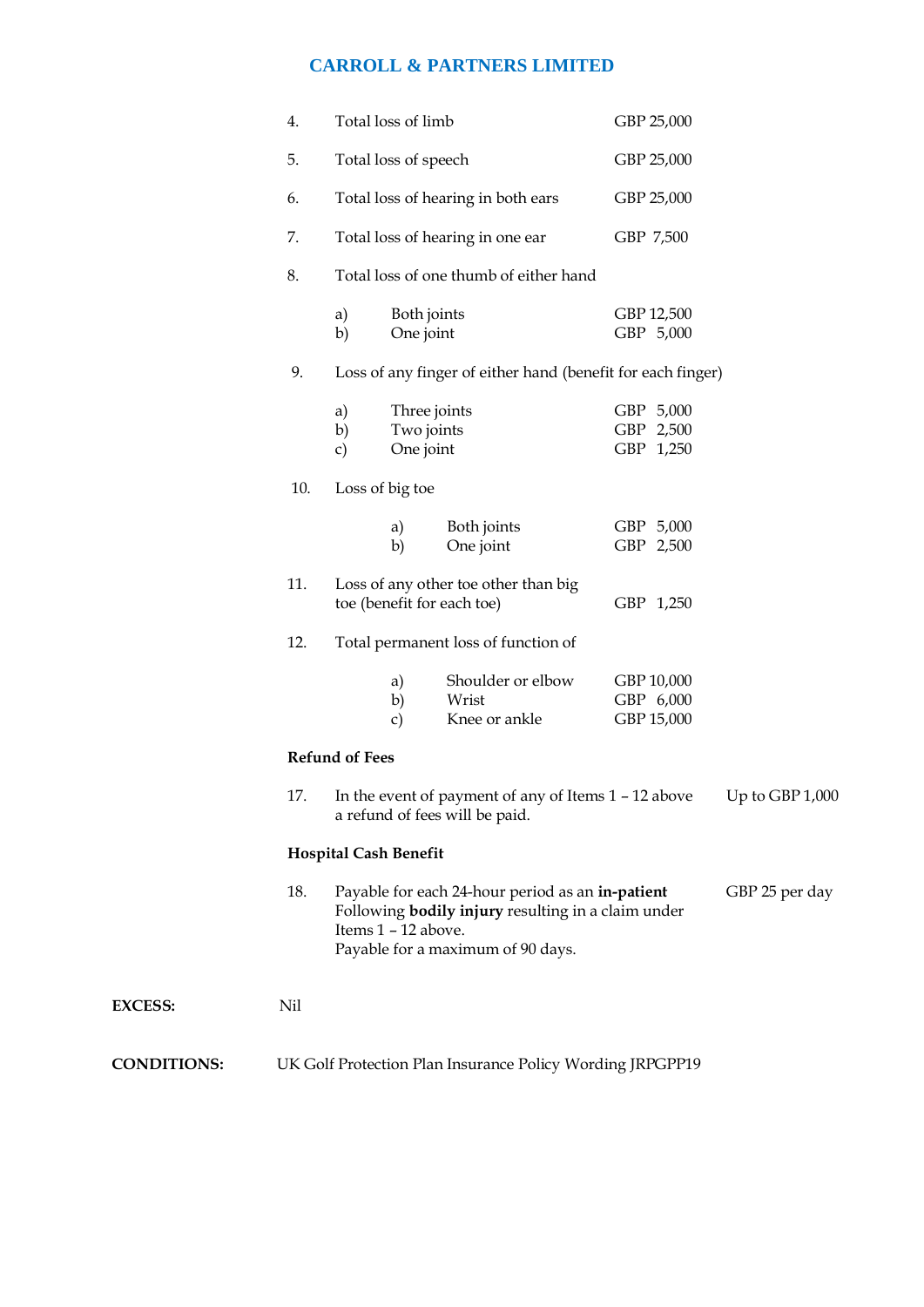## **CARROLL & PARTNERS LIMITED**

|                    | 4.                                                        | Total loss of limb                                                                                                                       |                                         |                                                                                                                                                    | GBP 25,000                            |                |  |  |
|--------------------|-----------------------------------------------------------|------------------------------------------------------------------------------------------------------------------------------------------|-----------------------------------------|----------------------------------------------------------------------------------------------------------------------------------------------------|---------------------------------------|----------------|--|--|
|                    | 5.                                                        | Total loss of speech<br>Total loss of hearing in both ears<br>Total loss of hearing in one ear<br>Total loss of one thumb of either hand |                                         | GBP 25,000                                                                                                                                         |                                       |                |  |  |
|                    | 6.                                                        |                                                                                                                                          |                                         | GBP 25,000                                                                                                                                         |                                       |                |  |  |
|                    | 7.                                                        |                                                                                                                                          |                                         | GBP 7,500                                                                                                                                          |                                       |                |  |  |
|                    | 8.                                                        |                                                                                                                                          |                                         |                                                                                                                                                    |                                       |                |  |  |
|                    |                                                           | a)<br>b)                                                                                                                                 | Both joints<br>One joint                |                                                                                                                                                    | GBP 12,500<br>GBP 5,000               |                |  |  |
|                    | 9.                                                        | Loss of any finger of either hand (benefit for each finger)                                                                              |                                         |                                                                                                                                                    |                                       |                |  |  |
|                    |                                                           | a)<br>b)<br>$\mathbf{c})$                                                                                                                | Three joints<br>Two joints<br>One joint |                                                                                                                                                    | GBP 5,000<br>GBP 2,500<br>GBP 1,250   |                |  |  |
|                    | 10.                                                       |                                                                                                                                          | Loss of big toe                         |                                                                                                                                                    |                                       |                |  |  |
|                    |                                                           |                                                                                                                                          | a)<br>b)                                | Both joints<br>One joint                                                                                                                           | GBP 5,000<br>GBP 2,500                |                |  |  |
|                    | 11.                                                       | Loss of any other toe other than big<br>toe (benefit for each toe)<br>Total permanent loss of function of                                |                                         | GBP 1,250                                                                                                                                          |                                       |                |  |  |
|                    | 12.                                                       |                                                                                                                                          |                                         |                                                                                                                                                    |                                       |                |  |  |
|                    |                                                           |                                                                                                                                          | a)<br>b)<br>$\mathbf{c})$               | Shoulder or elbow<br>Wrist<br>Knee or ankle                                                                                                        | GBP 10,000<br>GBP 6,000<br>GBP 15,000 |                |  |  |
|                    |                                                           | <b>Refund of Fees</b>                                                                                                                    |                                         |                                                                                                                                                    |                                       |                |  |  |
|                    | 17.                                                       | In the event of payment of any of Items $1 - 12$ above<br>a refund of fees will be paid.                                                 |                                         |                                                                                                                                                    | Up to GBP 1,000                       |                |  |  |
|                    |                                                           | <b>Hospital Cash Benefit</b>                                                                                                             |                                         |                                                                                                                                                    |                                       |                |  |  |
|                    | 18.                                                       |                                                                                                                                          | Items 1 - 12 above.                     | Payable for each 24-hour period as an in-patient<br>Following <b>bodily injury</b> resulting in a claim under<br>Payable for a maximum of 90 days. |                                       | GBP 25 per day |  |  |
| <b>EXCESS:</b>     | Nil                                                       |                                                                                                                                          |                                         |                                                                                                                                                    |                                       |                |  |  |
| <b>CONDITIONS:</b> | UK Golf Protection Plan Insurance Policy Wording JRPGPP19 |                                                                                                                                          |                                         |                                                                                                                                                    |                                       |                |  |  |